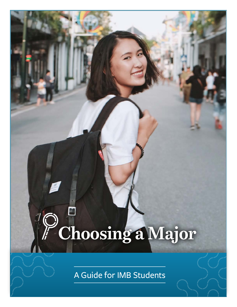# **Choosing a Major**

A Guide for IMB Students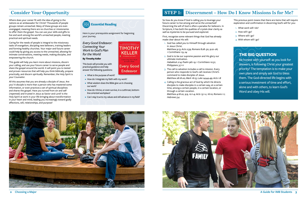Where does your career fit with the idea of going to the nations as an ambassador for Christ? Thousands of people groups remain unreached. Many of these groups are even unengaged, meaning there are no churches or missionaries to offer them the gospel. You can use your skills and gifts to live and work among the world's unreached people, meeting practical and spiritual needs.

Caring for the needs of people is integral to the missionary tasks of evangelism, discipling new believers, training leaders and forming healthy churches. Your major and future career could help by giving you access to the unreached, allowing for intimate conversations, meeting needs, making disciples, and empowering the church.

This guide will help you learn more about missions, discern your calling, and use your future career to serve people and share the gospel around the world. It will point you to tested and proven resources that will help you think biblically, prepare practically, and discern spiritually. Remember, the Holy Spirit is your Counselor.

All this assumes that you are already a disciple of Jesus. Are you? A disciple is more than a person who has mastered some information, or even practices a set of spiritual disciplines and shares the gospel. Have you turned from sin and self (repented) and trusted in Jesus as Savior and Lord? Is the Holy Spirit at work in your life bringing about transformation in your heart and mind, leading you increasingly toward godly affections, will, relationships, and purpose?

- What is the purpose of work?
- How do I integrate my faith with my work?
- What wisdom does the Bible give us in choosing our work?
- How do I thrive, or even survive, in a cutthroat, bottomline-oriented workplace?

**Every Good Endeavor** 

So how do you know if God is calling you to leverage your future career to live among and serve the unreached? Discerning the will of God is often a paradox for believers. In Scripture, it has both the qualities of crystal-clear clarity as well as mysteries to be pursued and explored.

First, recognize some relevant things that God has already made clear about His will:

- 1. God has called you to Himself through salvation in Jesus Christ.
	- *Matthew 9:13; Acts 2:39; Romans 8:28–30, 9:22–26; 1 Corinthians 1:9, 24*
- 2. God is to be our supreme passion and His glory our ultimate motivation. *Habakkuk 2:14; Psalm 96:1-9; 1 Corinthians 10:31; Philippians 3:7-11*
- 3. The call to salvation includes a call to mission. Every person who responds to God's call receives Christ's command to make disciples of Jesus. *Matthew 28:18-20; Mark 16:15; Luke 24:44-49; Acts 1:8*
- 4. Calling is the gracious act of God by which He directs disciples to make disciples in a certain way, at a certain time, among a certain people, in a certain location, or through a certain vocation.

*Matthew 4:18-22, 9:9, 10:1-4; Acts 13:1-2, 16:10; Romans 1:1; Hebrews 5:4*



![](_page_1_Picture_22.jpeg)

# **Consider Your Opportunity STEP 1: Discernment – How Do I Know Missions Is for Me?**

![](_page_1_Picture_5.jpeg)

This book will provide you with practical guidance and help answer the following questions:

• Can I stay true to my values and still advance in my field?

This previous point means that there are items that will require exploration and confirmation in discerning God's will for you:

- 1. What work will I do?
- 2. How will I go?
- 3. Where will I go?
- 4. With whom will I go?

## **THE BIG QUESTION**

Be honest with yourself: as you look for answers, is following Christ your greatest priority? The temptation is to make your own plans and simply ask God to bless them. The God-directed life begins with a serious investment of time and effort, alone and with others, to learn God's Word and obey His will.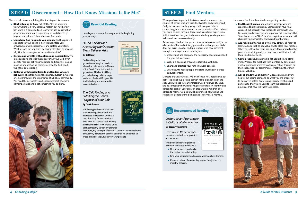There is help in accomplishing this first step of discernment.

- **• Start listening to God.** Get off the "It's all about me train." Calling is a very personal matter, but nowhere in Scripture is it described as a journey of self-construction or personal ambition. It is primarily an invitation to go beyond oneself and follow wherever God leads.
- **• Learn how God has made you unique.** God has planted signposts to your calling in how He has gifted you, provided you with experiences, and crafted your story. What lessons can you learn by paying attention to how and why God has made you for such a time as this?
- **• Engage and wrestle with options and possibilities.** The Bible supports the idea that discovering your God-given identity requires active participation and struggle. Do not make an unquestioning commitment to the first good thing that comes along.
- **• Dialogue with trusted friends and leaders who are believers.** The strong emphasis on individualism in America often overshadows the importance of a biblical community. You need the perspective and encouragement of others. Remember, missions is not something you do alone.

![](_page_2_Picture_6.jpeg)

## **STEP 1: Discernment – How Do I Know Missions Is for Me?**

Here is your prerequisite assignment for beginning your journey.

![](_page_2_Picture_7.jpeg)

*Is God Calling Me?: Answering the Question Every Believer Asks*

#### **By Jeff Iorg**

God is calling out a new generation of kingdom leaders who will accelerate the fulfillment of the Great Commission in this generation. This book will help you walk through biblical steps to discern God's will for your life. It will also help you see how God has called others.

### *The Call: Finding and Fulfilling the Central Purpose of Your Life*

#### **By Os Guinness**

This book goes beyond a surface understanding of God's call and addresses the fact that God has a specific calling for our individual lives. How do I fit God's call with my own individuality? How should God's calling affect my career, my plans for

the future, my concepts of success? Guinness relentlessly and exhaustively exhorts the believer to honor his or her call to live as a child of the King in every way possible.

![](_page_2_Figure_16.jpeg)

When you have important decisions to make, you need the counsel of others who are wise, trustworthy and experienced. Godly advice now can help you get off to a great start in connecting your education and career to missions. Even before you begin studies for your degree and learn from experts in a field, it is critical that you find mentors to help you to prepare to live and work cross culturally.

Do not expect to find one perfect mentor who can assist you in all aspects of life and ministry preparation—that person likely does not exist. Look for multiple leaders who have different strengths and experiences to help you:

- 1. Understand and complete the necessary education needed for your future career.
- 2. Walk in a deep and growing relationship with God.
- 3. Share and practice your faith in a work context.
- 4. Learn how to reach people and start churches in a crosscultural context.

Mentors are all around us. We often "have not, because we ask not." The list above is just a starter. Make a longer list of the skills you will need in your profession, as a follower of Jesus, and as someone who will be living cross culturally. Identify one person for each of your areas of preparation. Ask that one person to mentor you. You will be surprised how willing and responsive people are to being asked to serve as a mentor.

Here are a few friendly reminders regarding mentors:

- **1. Find the right person**. You will need someone wise and experienced but also available. Someone may have what you need, but not really have the time to share it with you. Personality and manner are also important but remember that "iron sharpens iron." Don't be afraid to pick someone who will challenge your perspective and expand your horizons.
- **2. Approach mentoring as a two-way street**. Be ready to learn, but also look to add value and to bless your mentor. When possible, offer them assistance. Mentors will not be good at everything, and you may have a skill that will help them in a time of need.
- **3. Come prepared**. Mentoring is not about filling a blank mind. Prepare for meetings with mentors by developing a list of questions or items to discuss. Follow through on their suggestions or assignments. Treat the gift of their time as valuable.
- **4. Ask to shadow your mentor**. Discussions can be very helpful but seeing someone do what you are preparing to do is even better. Professionals create rhythms and patterns to their work. Seek to learn the habits and practices that have led them to success.

![](_page_2_Picture_40.jpeg)

# **STEP 2: Find Mentors**

*Letters to an Apprentice: A Culture of Mentorship*

#### **By Jeremy Taliaferro**

Learn from an IMB missionary's experience as both an apprentice and a mentor.

This book is filled with practical examples and steps to help you:

- Find your mentor and make the best of that relationship.
- Find your apprentice and pass on what you have learned.

LETTERS TO AN

**APPRENTICE XØIA** 

J. TALIAFERRO

• Create a culture of mentorship in your family, church, ministry, or team.

![](_page_2_Picture_33.jpeg)

# **Recommended Reading**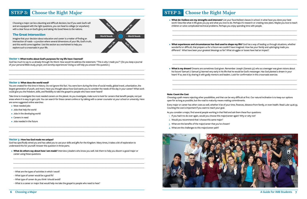Choosing a major can be a daunting and difficult decision, but if you seek God's will and are equipped with the right questions, you can head to college (or anywhere) with a clear focus on God's glory and taking His Good News to the nations.

#### **The Great Intersection**

Imagine that your decision about education and career is a matter of finding an intersection of roads—a junction where several dimensions of your life, God's truth, and this world come together. Use this section as a worksheet to help you explore such a crossroads in your life.

#### **Vector 1: What truths about God's purposes for my life have I learned?**

God has much to say to us already through His Word. How would He address the statement, "This is why I made you"? (Do you keep a journal of your personal Bible study, prayer, and worship experiences? Doing so will help you answer this question.)

- Most needed jobs
- Jobs that help the world
- Jobs in the developing world
- Careers in need
- Jobs needed in the future

\_\_\_\_\_\_\_\_\_\_\_\_\_\_\_\_\_\_\_\_\_\_\_\_\_\_\_\_\_\_\_\_\_\_\_\_\_\_\_\_\_\_\_\_\_\_\_\_\_\_\_\_\_\_\_\_\_\_\_\_\_\_\_\_\_\_\_\_\_\_\_\_\_\_\_\_\_\_\_\_\_\_\_\_\_\_\_\_\_\_\_\_\_\_\_\_\_\_\_\_\_\_\_\_\_\_\_\_\_\_\_\_\_\_\_\_\_\_\_\_\_\_\_\_\_ \_\_\_\_\_\_\_\_\_\_\_\_\_\_\_\_\_\_\_\_\_\_\_\_\_\_\_\_\_\_\_\_\_\_\_\_\_\_\_\_\_\_\_\_\_\_\_\_\_\_\_\_\_\_\_\_\_\_\_\_\_\_\_\_\_\_\_\_\_\_\_\_\_\_\_\_\_\_\_\_\_\_\_\_\_\_\_\_\_\_\_\_\_\_\_\_\_\_\_\_\_\_\_\_\_\_\_\_\_\_\_\_\_\_\_\_\_\_\_\_\_\_\_\_\_ \_\_\_\_\_\_\_\_\_\_\_\_\_\_\_\_\_\_\_\_\_\_\_\_\_\_\_\_\_\_\_\_\_\_\_\_\_\_\_\_\_\_\_\_\_\_\_\_\_\_\_\_\_\_\_\_\_\_\_\_\_\_\_\_\_\_\_\_\_\_\_\_\_\_\_\_\_\_\_\_\_\_\_\_\_\_\_\_\_\_\_\_\_\_\_\_\_\_\_\_\_\_\_\_\_\_\_\_\_\_\_\_\_\_\_\_\_\_\_\_\_\_\_\_\_

#### **Vector 2: What does the world need?**

You are created for this time in history. Do not ignore this fact. You were born during the time of social media, global travel, urbanization, the largest generation of youth, and more. Have you thought about how God wants you to consider the needs of the day in your career? What work could give you the freedom, skills, and flexibility to take the gospel to people who have never heard?

Take time to investigate the most needed careers on the planet. As you investigate, make sure to look for careers that benefit people, not just areas where it is easy to get a job. You can search for these careers online or by talking with a career counselor at your school or university. Here are some suggested online searches:

\_\_\_\_\_\_\_\_\_\_\_\_\_\_\_\_\_\_\_\_\_\_\_\_\_\_\_\_\_\_\_\_\_\_\_\_\_\_\_\_\_\_\_\_\_\_\_\_\_\_\_\_\_\_\_\_\_\_\_\_\_\_\_\_\_\_\_\_\_\_\_\_\_\_\_\_\_\_\_\_\_\_\_\_\_\_\_\_\_\_\_\_\_\_\_\_\_\_\_\_\_\_\_\_\_\_\_\_\_\_\_\_\_\_\_\_\_\_\_\_\_\_\_\_\_ \_\_\_\_\_\_\_\_\_\_\_\_\_\_\_\_\_\_\_\_\_\_\_\_\_\_\_\_\_\_\_\_\_\_\_\_\_\_\_\_\_\_\_\_\_\_\_\_\_\_\_\_\_\_\_\_\_\_\_\_\_\_\_\_\_\_\_\_\_\_\_\_\_\_\_\_\_\_\_\_\_\_\_\_\_\_\_\_\_\_\_\_\_\_\_\_\_\_\_\_\_\_\_\_\_\_\_\_\_\_\_\_\_\_\_\_\_\_\_\_\_\_\_\_\_ \_\_\_\_\_\_\_\_\_\_\_\_\_\_\_\_\_\_\_\_\_\_\_\_\_\_\_\_\_\_\_\_\_\_\_\_\_\_\_\_\_\_\_\_\_\_\_\_\_\_\_\_\_\_\_\_\_\_\_\_\_\_\_\_\_\_\_\_\_\_\_\_\_\_\_\_\_\_\_\_\_\_\_\_\_\_\_\_\_\_\_\_\_\_\_\_\_\_\_\_\_\_\_\_\_\_\_\_\_\_\_\_\_\_\_\_\_\_\_\_\_\_\_\_\_

#### **Vector 3 :How has God made me unique?**

God has specifically wired you and has called you to use your skills and gifts for the Kingdom. Many times, it takes a bit of exploration to understand this for yourself. Answer this question in three parts.

**• What do others say about how I am made?** Interview 3 leaders who know you well. Ask them to help you discern a good major or career using these questions:

As you consider a major, find several people working in that field and ask them these four questions: 1. If you had it to do over again, would you choose this major/career again? Why or why not?

\_\_\_\_\_\_\_\_\_\_\_\_\_\_\_\_\_\_\_\_\_\_\_\_\_\_\_\_\_\_\_\_\_\_\_\_\_\_\_\_\_\_\_\_\_\_\_\_\_\_\_\_\_\_\_\_\_\_\_\_\_\_\_\_\_\_\_\_\_\_\_\_\_\_\_\_\_\_\_\_\_\_\_\_\_\_\_\_\_\_\_\_\_\_\_\_\_\_\_\_\_\_\_\_\_\_\_\_\_\_\_\_\_\_\_\_\_\_\_\_\_ \_\_\_\_\_\_\_\_\_\_\_\_\_\_\_\_\_\_\_\_\_\_\_\_\_\_\_\_\_\_\_\_\_\_\_\_\_\_\_\_\_\_\_\_\_\_\_\_\_\_\_\_\_\_\_\_\_\_\_\_\_\_\_\_\_\_\_\_\_\_\_\_\_\_\_\_\_\_\_\_\_\_\_\_\_\_\_\_\_\_\_\_\_\_\_\_\_\_\_\_\_\_\_\_\_\_\_\_\_\_\_\_\_\_\_\_\_\_\_\_\_ \_\_\_\_\_\_\_\_\_\_\_\_\_\_\_\_\_\_\_\_\_\_\_\_\_\_\_\_\_\_\_\_\_\_\_\_\_\_\_\_\_\_\_\_\_\_\_\_\_\_\_\_\_\_\_\_\_\_\_\_\_\_\_\_\_\_\_\_\_\_\_\_\_\_\_\_\_\_\_\_\_\_\_\_\_\_\_\_\_\_\_\_\_\_\_\_\_\_\_\_\_\_\_\_\_\_\_\_\_\_\_\_\_\_\_\_\_\_\_\_\_

- 
- 2. Would you recommend that I choose this same major?
- 3. What are the benefits of the major/career that you've chosen?
- 4. What are the challenges to this major/career path?

![](_page_3_Picture_34.jpeg)

- What are the types of activities in which I excel?
- What type of career would be a good fit?
- What type of career do you think I should avoid?
- What is a career or major that would help me take the gospel to people who need to hear?

**• What do I believe are my strengths and interests?** List your favorite/best classes in school. In what have you done your best work? Describe what in life gives you joy and what you love to do. Perhaps it's research or creating new plans. Maybe you love to teach

\_\_\_\_\_\_\_\_\_\_\_\_\_\_\_\_\_\_\_\_\_\_\_\_\_\_\_\_\_\_\_\_\_\_\_\_\_\_\_\_\_\_\_\_\_\_\_\_\_\_\_\_\_\_\_\_\_\_\_\_\_\_\_\_\_\_\_\_\_\_\_\_\_\_\_\_\_\_\_\_\_\_\_\_\_\_\_\_\_\_\_\_\_\_\_\_\_\_\_\_\_\_\_\_\_\_\_\_\_\_\_\_\_\_\_ \_\_\_\_\_\_\_\_\_\_\_\_\_\_\_\_\_\_\_\_\_\_\_\_\_\_\_\_\_\_\_\_\_\_\_\_\_\_\_\_\_\_\_\_\_\_\_\_\_\_\_\_\_\_\_\_\_\_\_\_\_\_\_\_\_\_\_\_\_\_\_\_\_\_\_\_\_\_\_\_\_\_\_\_\_\_\_\_\_\_\_\_\_\_\_\_\_\_\_\_\_\_\_\_\_\_\_\_\_\_\_\_\_\_\_ \_\_\_\_\_\_\_\_\_\_\_\_\_\_\_\_\_\_\_\_\_\_\_\_\_\_\_\_\_\_\_\_\_\_\_\_\_\_\_\_\_\_\_\_\_\_\_\_\_\_\_\_\_\_\_\_\_\_\_\_\_\_\_\_\_\_\_\_\_\_\_\_\_\_\_\_\_\_\_\_\_\_\_\_\_\_\_\_\_\_\_\_\_\_\_\_\_\_\_\_\_\_\_\_\_\_\_\_\_\_\_\_\_\_\_

**• What experiences and circumstances has God used to shape my life?** God has a way of leading us through situations, whether wonderful or difficult, that prepare us for a future we couldn't have imagined. How has your family and upbringing made you

- children or solve complicated technical problems. Perhaps you enjoy spending time with people.
- different? What have been your greatest blessings so far? What struggles or losses have had an impact?
- heart? If so, test it by sharing it with godly mentors and leaders. Look for confirmation in this crossroads exercise.

\_\_\_\_\_\_\_\_\_\_\_\_\_\_\_\_\_\_\_\_\_\_\_\_\_\_\_\_\_\_\_\_\_\_\_\_\_\_\_\_\_\_\_\_\_\_\_\_\_\_\_\_\_\_\_\_\_\_\_\_\_\_\_\_\_\_\_\_\_\_\_\_\_\_\_\_\_\_\_\_\_\_\_\_\_\_\_\_\_\_\_\_\_\_\_\_\_\_\_\_\_\_\_\_\_\_\_\_\_\_\_\_\_\_\_ \_\_\_\_\_\_\_\_\_\_\_\_\_\_\_\_\_\_\_\_\_\_\_\_\_\_\_\_\_\_\_\_\_\_\_\_\_\_\_\_\_\_\_\_\_\_\_\_\_\_\_\_\_\_\_\_\_\_\_\_\_\_\_\_\_\_\_\_\_\_\_\_\_\_\_\_\_\_\_\_\_\_\_\_\_\_\_\_\_\_\_\_\_\_\_\_\_\_\_\_\_\_\_\_\_\_\_\_\_\_\_\_\_\_\_ \_\_\_\_\_\_\_\_\_\_\_\_\_\_\_\_\_\_\_\_\_\_\_\_\_\_\_\_\_\_\_\_\_\_\_\_\_\_\_\_\_\_\_\_\_\_\_\_\_\_\_\_\_\_\_\_\_\_\_\_\_\_\_\_\_\_\_\_\_\_\_\_\_\_\_\_\_\_\_\_\_\_\_\_\_\_\_\_\_\_\_\_\_\_\_\_\_\_\_\_\_\_\_\_\_\_\_\_\_\_\_\_\_\_\_

**• What is my dream?** Dreams are sometimes God-given. Remember Joseph (Genesis 37) who as a teenager was given visions about his future? Samuel (1 Samuel 3) learned very early in his life that he would be God's messenger. Has God planted a dream in your

\_\_\_\_\_\_\_\_\_\_\_\_\_\_\_\_\_\_\_\_\_\_\_\_\_\_\_\_\_\_\_\_\_\_\_\_\_\_\_\_\_\_\_\_\_\_\_\_\_\_\_\_\_\_\_\_\_\_\_\_\_\_\_\_\_\_\_\_\_\_\_\_\_\_\_\_\_\_\_\_\_\_\_\_\_\_\_\_\_\_\_\_\_\_\_\_\_\_\_\_\_\_\_\_\_\_\_\_\_\_\_\_\_\_\_ \_\_\_\_\_\_\_\_\_\_\_\_\_\_\_\_\_\_\_\_\_\_\_\_\_\_\_\_\_\_\_\_\_\_\_\_\_\_\_\_\_\_\_\_\_\_\_\_\_\_\_\_\_\_\_\_\_\_\_\_\_\_\_\_\_\_\_\_\_\_\_\_\_\_\_\_\_\_\_\_\_\_\_\_\_\_\_\_\_\_\_\_\_\_\_\_\_\_\_\_\_\_\_\_\_\_\_\_\_\_\_\_\_\_\_ \_\_\_\_\_\_\_\_\_\_\_\_\_\_\_\_\_\_\_\_\_\_\_\_\_\_\_\_\_\_\_\_\_\_\_\_\_\_\_\_\_\_\_\_\_\_\_\_\_\_\_\_\_\_\_\_\_\_\_\_\_\_\_\_\_\_\_\_\_\_\_\_\_\_\_\_\_\_\_\_\_\_\_\_\_\_\_\_\_\_\_\_\_\_\_\_\_\_\_\_\_\_\_\_\_\_\_\_\_\_\_\_\_\_\_

#### **Note: Count the Cost**

Choosing a path means rejecting other possibilities, and that can be very difficult at first. Our natural inclination is to keep our options open for as long as possible, but the road to maturity means making commitments.

Every major or career has other costs as well, whether it be of your time, finances, distance from family, or even health. Read Luke 14:26-33. Counting the cost is important if you want to reach your goal.

# **STEP 3: Choose the Right Major STEP 3: Choose the Right Major**

![](_page_3_Figure_4.jpeg)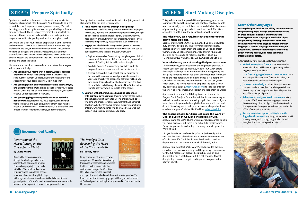Spiritual preparation is the most crucial step in any plan to live and work internationally for the gospel. Your decision to be in the marketplace for this purpose makes you a missionary. You will be using your skills and gifts to share the gospel with people who have never heard. The missionary assignment requires that you have an authentic personal walk with God and participation in corporate worship, discipleship, and service through a church.

Let's make this clear: your spiritual preparation is both individual and communal. There is no substitute for your private worship, Bible study, and prayer. You need time alone with God, and that needs to be a regular and even daily discipline. It is also true that to follow Christ means to be vitally linked to His body—the church. Most of the admonitions of the New Testament cannot be obeyed and practiced alone.

Here are some questions to consider as you determine how you will prepare spiritually:

- **• Are you an active member of a healthy, gospel-focused church?** Remember, the biblical pattern is that churches send out those whom God calls. Is your church aware of and supportive of your desire to serve God in missions?
- **• Are you engaged in personal habits of Bible study, prayer, and Scripture memory?** Spiritual disciplines help you to abide daily in Christ and rely on Him. They also undergird your ability to serve God and join Him in His work.
- **• Are you struggling with any habitual sins or addictive behaviors?** Recognize that you have a spiritual enemy that wants to distract and even disqualify you from opportunities to serve God in missions. To overcome sin, it is essential to take proper steps of repentance, change, and accountability.

#### **Learn Other Languages**

**Making disciples involves the ability to communicate the gospel to people in ways they can understand. In cross-cultural missions, this means that learning their heart language is invaluable. If you are preparing for long-term service, don't miss the opportunity now to begin to master another language. A second language opens up more job possibilities, communicates that you are serious about working abroad, and helps you make international contacts.** 

A few practical ways to go about language learning:

- 1. **Make international friends –** As a friend of an international, you will have the opportunity to learn language from your friend.
- 2. **Use free language-learning resources –** Local and campus libraries have free audio, video, and print resources. Research the best apps.
- 3. **Use electives wisely –** You might only have a few chances to take an elective, but when you do have the option, choose language electives. They are fun and offer a change of pace.
- 4. **Take a community course in language –** Many colleges offer free or low-cost language classes for the community, often at night, over the weekends, or during summer. Start your search with your school's office of continuing education.
- 5. **Pursue volunteer opportunities in multilingual environments –** Having this experience will not only assist you in taking the gospel to those in need, but it will also help you find a job.

![](_page_4_Picture_46.jpeg)

Your spiritual preparation is an investment not only in yourself but also others. Take this step seriously and:

- **1. Ask a mentor to lead you through a discipleship assessment.** Just like a yearly medical examination helps you to evaluate, improve, and protect your physical health, the right kind of spiritual assessment can identify areas in which you need to grow or heal. Lifeway Resources (lifeway.com) offers the Discipleship Pathway Assessment as such a resource.
- **2. Engage in a discipleship study with a group.** IMB offers several free online courses that focus on missions and can be done together. Find these at imb.pathwright.com.
	- a. Explore Missions is a 6-week study that gives you a biblical overview of the mission of God and how He purposes the people of God to join Him in His redemptive plan.
	- b. Ready to Go is an 8-session study that helps students prepare for a summer or semester of missions service.
	- c. Deepen Discipleship is a 6-month course designed to be done with a mentor or small group in the context of your local church. The lessons and activities will help you develop or deepen habits of obedience in your Christian life. You'll also walk through the entire New Testament and learn to see your whole life in light of the gospel.
- **3. Connect with others who are balancing academics with spiritual development.** Training for any career can be difficult; college isn't easy, after all. The challenge will be to find time and energy for church engagement and personal devotion. Whether through a campus ministry, your church, or fellow Christian students, find or create a team who can support your spiritual journey as you study.

*Renovation of the Heart: Putting on the Character of Christ*

#### **By Dallas Willard**

Don't settle for complacency. Accept the challenge to become an intentional apprentice of Jesus Christ, changing daily as you walk with Him. This book explains why Christians need to undergo change in six aspects of life: thought, feeling,

will, body, social context, and soul. Willard also outlines a general pattern of transformation in each area, not as a sterile formula but as a practical process that you can follow.

#### *The Prodigal God: Recovering the Heart of the Christian Faith*

#### **By Timothy Keller**

Being a follower of Jesus is easy to complicate. We can be distracted by thousands of teachings and practices that keep us from concentrating on the main thing of the Christian life. Keller uncovers the essential

message of Jesus, locked inside his most familiar parable. This focus on the simple, amazing gospel will lead you to the heart of God and provide the inspiration you need to find your role in His mission.

Prodigal GOD

Recovering the Heart of the Christian Faith

TIMOTHY KELLER

# **STEP 4: Prepare Spiritually STEP 5: STEP 5: Start Making Disciples**

#### **Recommended Reading**

This guide is about the possibilities of you using your career to minister to both the practical and spiritual needs of people. More specifically, you can follow the powerful biblical example of proclaiming the gospel in both word and deed. Christians are called to both share the gospel and show the gospel.

#### **The missionary task requires that you embrace the call to make disciples.**

Disciple-making is the Christ-commanded, Spirit-empowered duty of every disciple of Jesus to evangelize unbelievers, baptize believers, teach them the Word of Christ, and train them to obey Christ as members of His church who make disciples on mission to all nations. (Matthew 28:16–20; 1 Corinthians 12:4–31; Ephesians 4:1–16; Colossians 1:27–29)

#### **Your missionary task of making disciples starts now.**

Like any training, your missionary training needs practice. A recent Southern Baptist initiative, *Who's Your One?*, offers the simple challenge to be intentional about evangelizing and discipling someone. When you think of someone far from God, who's the first person who comes to mind? Is it a neighbor? Coworker? Parent? No matter who it is, God can use you to reach them. The *Who's Your One* emphasis includes a fortyday devotional guide [\(whosyourone.com](http://whosyourone.com)) to lead you through the effort to love someone who is lost and lead them to Christ.

A prerequisite course for IMB long-term missionaries is *Deepen Discipleship*, a 6-month discipleship resource designed to be done with a mentor or small group in the context of your local church. As you walk through the lessons, you'll read and do activities designed to help you develop or deepen habits of obedience in your Christian life. Find it at im[b.org/training.](http://IMB.org/training)

#### **The essential tools for discipleship are the Word of God, the Spirit of God, and the people of God.**

*Disciple using the Bible.* There are many good resources to help you make disciples, but there is no substitute for Scripture. Every disciple needs to develop a thorough knowledge of the Word of God.

*Disciple in reliance on the Holy Spirit*. Only the Holy Spirit can take the Word of God and use it to transform every area of a disciple's life. Discipleship must be done in conscious dependence on the power and work of the Holy Spirit.

*Disciple in the context of the church.* God provides the local church as the necessary setting and the primary relationships for the full measure of biblical discipleship. One-on-one discipleship has a useful role, but it is not enough. Biblical discipleship requires the gifts and input of everyone in the body of Christ.

![](_page_4_Picture_35.jpeg)

![](_page_4_Picture_37.jpeg)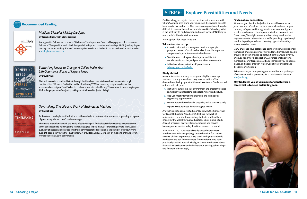God is calling you to join Him on mission, but where and with whom? A major step along your journey is discovering possible locations to live and serve. There are so many options it may be difficult to narrow them down and discern God's leading. What is the best way to find direction and move forward? Nothing is more helpful than to visit locations.

A few options for these visits are:

#### **Take a short-term trip**

- A mission trip can introduce you to a culture, a people group, and a team of missionaries, all which will be important components in your future service in missions.
- Start the search with your church, your local Baptist association of churches, and your state Baptist convention.
- IMB offers trip opportunities. Explore these at [imb.org/opportunity-finder](http://imb.org/opportunity-finder).

#### **Study abroad**

Many universities and degree programs highly encourage students to study abroad and may have an entire office devoted to offering opportunities and assistance. Study abroad options will help you:

- 1. Visit a new culture in a safe environment and program focused on helping you understand the people, history, and culture.
- 2. Help you meet international engineers and learn about engineering opportunities.
- 3. Receive academic credit while preparing to live cross culturally.
- 4. Explore a culture to see if you are a good match.

Another place to explore study abroad is with the Consortium for Global Education (cgedu.org). CGE is a network of universities committed to assisting students and faculty in impacting the world through education. CGE's Global Study Abroad programs provide strong academic and servicelearning opportunities in key locations around the world.

A NOTE OF CAUTION: Not all study abroad experiences are the same. Prior to applying, research online for student reviews of their experience. Also, check with your academic institution and ask for references from students who have previously studied abroad. Finally, make sure to inquire about financial aid assistance and whether your existing scholarships and financial aid can apply.

#### **Find a natural connection**

Wherever you live, it's likely that the world has come to your doorstep. Consider the international students on your campus, refugees and immigrants in your community, and ethnic churches and church plants. Missions does not start "over there," but right where you live. Many missionaries began to develop a heart for a specific people group through relationships they made and ministry opportunities they encountered at home.

Many churches have established partnerships with missionary teams and church planters or have adopted unreached people groups. They can provide opportunities that would give you a "paved road" for a connection. A professional network, mentorship, or internship could also introduce you to people, places, and needs through which God stirs your heart and directs your attention.

IMB can assist you in exploring opportunities and pathways of service as well as preparing for a mission trip. Contact [info@imb.org.](mailto:info%40imb.org?subject=)

**May God bless you as you move forward toward a career that is focused on His Kingdom.**

![](_page_5_Picture_35.jpeg)

# **STEP 6: Explore Possibilities and Needs**

#### *Multiply: Disciples Making Disciples*

#### **By Francis Chan, with Mark Beuving**

Jesus gave His followers a command: "Follow me," and a promise: "And I will equip you to find others to follow me." Designed for use in discipleship relationships and other focused settings, *Multiply* will equip you to carry out Jesus' ministry. Each of the twenty-four sessions in the book corresponds with an online video at [multiplymovement.com](http://multiplymovement.com)

# SOMETHING **NEEDS** .<br>"A Call to Make Your Life Count"<br>"in a World of Urgent Need DAVID PLATT

multiply

## *Something Needs to Change: A Call to Make Your Life Count in a World of Urgent Need*

#### **By David Platt**

Platt invites readers to relive his trek through the Himalayan mountains and seek answers to tough questions like, "Where is God in the middle of suffering?" "What makes my religion any better than someone else's religion?" and "What do I believe about eternal suffering?" Learn what it means to give your life for the gospel — to finally stop talking about faith and truly start living it.

# $AR$ **TENTMAKING Business as Missic**

**PATRICK LAI** 

## *Tentmaking: The Life and Work of Business as Missions*

**By Patrick Lai**

Professional church planter Patrick Lai provides an in-depth reference for tentmakers operating in regions of great antagonism to the Christian message.

Those who are unfamiliar with the world of tentmaking will find valuable information to introduce them to the concept and to help in getting started. Designed to be a manual, Tentmaking is more than just an overview of questions and issues. This thoroughly researched collection is the result of interviews from over 450 people serving in the 10/40 window. It provides a unique viewpoint on missions, sharing proven, workable alternatives to conventional

## **Recommended Reading**